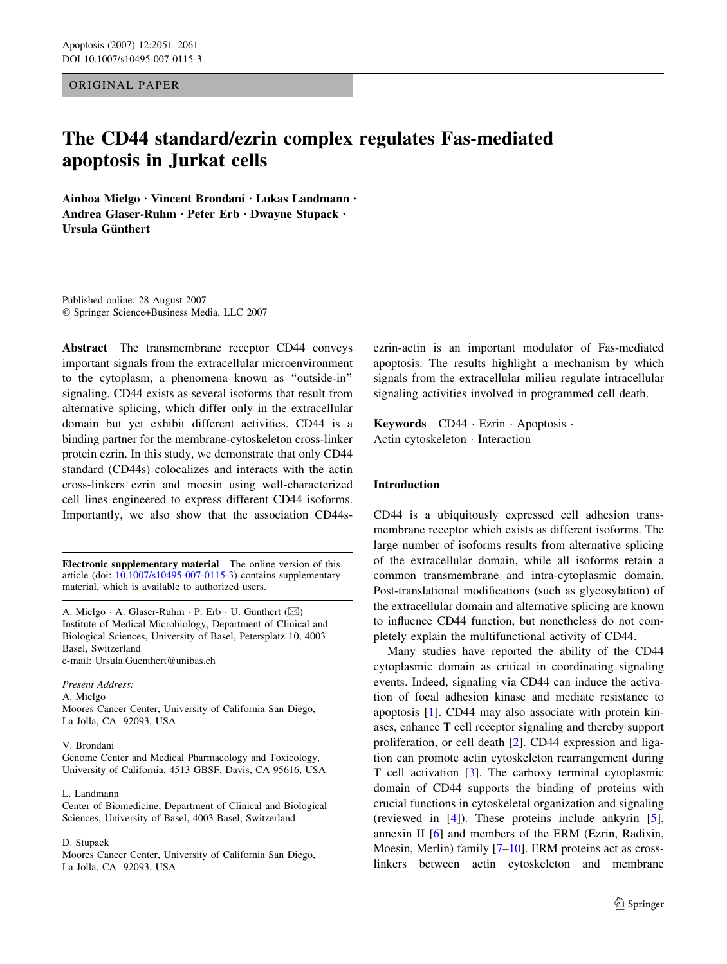ORIGINAL PAPER

# The CD44 standard/ezrin complex regulates Fas-mediated apoptosis in Jurkat cells

Ainhoa Mielgo · Vincent Brondani · Lukas Landmann · Andrea Glaser-Ruhm · Peter Erb · Dwayne Stupack · Ursula Günthert

Published online: 28 August 2007 Springer Science+Business Media, LLC 2007

Abstract The transmembrane receptor CD44 conveys important signals from the extracellular microenvironment to the cytoplasm, a phenomena known as ''outside-in'' signaling. CD44 exists as several isoforms that result from alternative splicing, which differ only in the extracellular domain but yet exhibit different activities. CD44 is a binding partner for the membrane-cytoskeleton cross-linker protein ezrin. In this study, we demonstrate that only CD44 standard (CD44s) colocalizes and interacts with the actin cross-linkers ezrin and moesin using well-characterized cell lines engineered to express different CD44 isoforms. Importantly, we also show that the association CD44s-

Electronic supplementary material The online version of this article (doi: [10.1007/s10495-007-0115-3\)](http://dx.doi.org/10.1007/s10495-007-0115-3) contains supplementary material, which is available to authorized users.

A. Mielgo  $\cdot$  A. Glaser-Ruhm  $\cdot$  P. Erb  $\cdot$  U. Günthert ( $\boxtimes$ ) Institute of Medical Microbiology, Department of Clinical and Biological Sciences, University of Basel, Petersplatz 10, 4003 Basel, Switzerland e-mail: Ursula.Guenthert@unibas.ch

Present Address: A. Mielgo Moores Cancer Center, University of California San Diego, La Jolla, CA 92093, USA

#### V. Brondani

Genome Center and Medical Pharmacology and Toxicology, University of California, 4513 GBSF, Davis, CA 95616, USA

#### L. Landmann

Center of Biomedicine, Department of Clinical and Biological Sciences, University of Basel, 4003 Basel, Switzerland

#### D. Stupack

Moores Cancer Center, University of California San Diego, La Jolla, CA 92093, USA

ezrin-actin is an important modulator of Fas-mediated apoptosis. The results highlight a mechanism by which signals from the extracellular milieu regulate intracellular signaling activities involved in programmed cell death.

Keywords CD44 · Ezrin · Apoptosis · Actin cytoskeleton · Interaction

#### Introduction

CD44 is a ubiquitously expressed cell adhesion transmembrane receptor which exists as different isoforms. The large number of isoforms results from alternative splicing of the extracellular domain, while all isoforms retain a common transmembrane and intra-cytoplasmic domain. Post-translational modifications (such as glycosylation) of the extracellular domain and alternative splicing are known to influence CD44 function, but nonetheless do not completely explain the multifunctional activity of CD44.

Many studies have reported the ability of the CD44 cytoplasmic domain as critical in coordinating signaling events. Indeed, signaling via CD44 can induce the activation of focal adhesion kinase and mediate resistance to apoptosis [\[1](#page-8-0)]. CD44 may also associate with protein kinases, enhance T cell receptor signaling and thereby support proliferation, or cell death [\[2](#page-9-0)]. CD44 expression and ligation can promote actin cytoskeleton rearrangement during T cell activation [\[3](#page-9-0)]. The carboxy terminal cytoplasmic domain of CD44 supports the binding of proteins with crucial functions in cytoskeletal organization and signaling (reviewed in [\[4](#page-9-0)]). These proteins include ankyrin [\[5](#page-9-0)], annexin II [\[6](#page-9-0)] and members of the ERM (Ezrin, Radixin, Moesin, Merlin) family [[7–10\]](#page-9-0). ERM proteins act as crosslinkers between actin cytoskeleton and membrane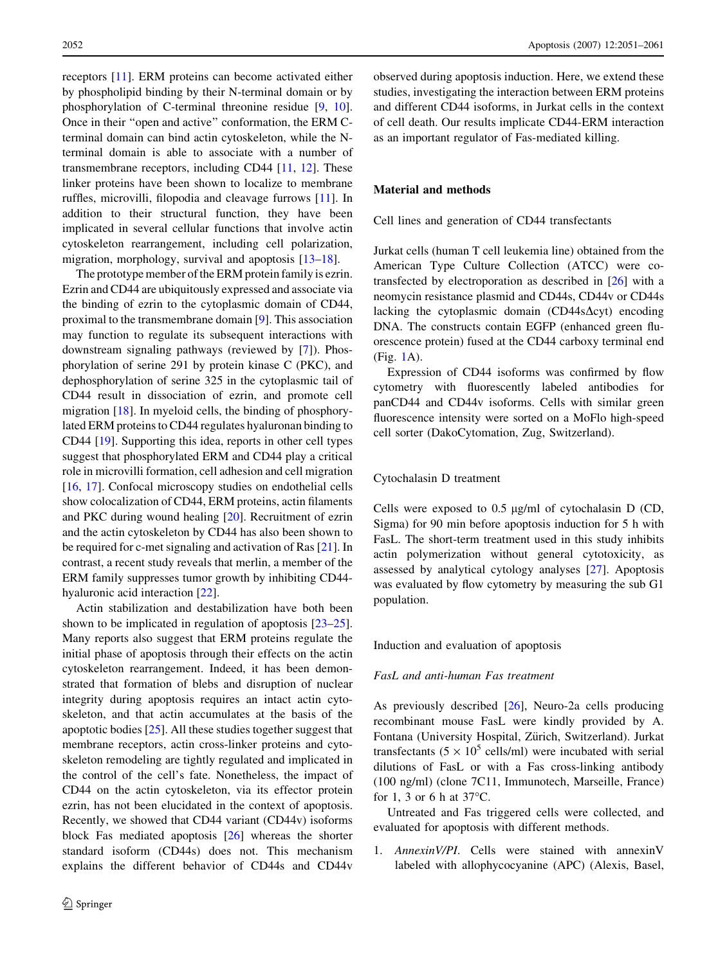receptors [[11](#page-9-0)]. ERM proteins can become activated either by phospholipid binding by their N-terminal domain or by phosphorylation of C-terminal threonine residue [\[9](#page-9-0), [10](#page-9-0)]. Once in their ''open and active'' conformation, the ERM Cterminal domain can bind actin cytoskeleton, while the Nterminal domain is able to associate with a number of transmembrane receptors, including CD44 [\[11](#page-9-0), [12](#page-9-0)]. These linker proteins have been shown to localize to membrane ruffles, microvilli, filopodia and cleavage furrows [[11\]](#page-9-0). In addition to their structural function, they have been implicated in several cellular functions that involve actin cytoskeleton rearrangement, including cell polarization, migration, morphology, survival and apoptosis [\[13–18](#page-9-0)].

The prototype member of the ERM protein family is ezrin. Ezrin and CD44 are ubiquitously expressed and associate via the binding of ezrin to the cytoplasmic domain of CD44, proximal to the transmembrane domain [\[9](#page-9-0)]. This association may function to regulate its subsequent interactions with downstream signaling pathways (reviewed by [\[7](#page-9-0)]). Phosphorylation of serine 291 by protein kinase C (PKC), and dephosphorylation of serine 325 in the cytoplasmic tail of CD44 result in dissociation of ezrin, and promote cell migration [\[18](#page-9-0)]. In myeloid cells, the binding of phosphorylated ERM proteins to CD44 regulates hyaluronan binding to CD44 [[19\]](#page-9-0). Supporting this idea, reports in other cell types suggest that phosphorylated ERM and CD44 play a critical role in microvilli formation, cell adhesion and cell migration [\[16](#page-9-0), [17\]](#page-9-0). Confocal microscopy studies on endothelial cells show colocalization of CD44, ERM proteins, actin filaments and PKC during wound healing [\[20](#page-9-0)]. Recruitment of ezrin and the actin cytoskeleton by CD44 has also been shown to be required for c-met signaling and activation of Ras [\[21](#page-9-0)]. In contrast, a recent study reveals that merlin, a member of the ERM family suppresses tumor growth by inhibiting CD44 hyaluronic acid interaction [\[22](#page-9-0)].

Actin stabilization and destabilization have both been shown to be implicated in regulation of apoptosis [\[23–25](#page-9-0)]. Many reports also suggest that ERM proteins regulate the initial phase of apoptosis through their effects on the actin cytoskeleton rearrangement. Indeed, it has been demonstrated that formation of blebs and disruption of nuclear integrity during apoptosis requires an intact actin cytoskeleton, and that actin accumulates at the basis of the apoptotic bodies [[25\]](#page-9-0). All these studies together suggest that membrane receptors, actin cross-linker proteins and cytoskeleton remodeling are tightly regulated and implicated in the control of the cell's fate. Nonetheless, the impact of CD44 on the actin cytoskeleton, via its effector protein ezrin, has not been elucidated in the context of apoptosis. Recently, we showed that CD44 variant (CD44v) isoforms block Fas mediated apoptosis [[26\]](#page-9-0) whereas the shorter standard isoform (CD44s) does not. This mechanism explains the different behavior of CD44s and CD44v observed during apoptosis induction. Here, we extend these studies, investigating the interaction between ERM proteins and different CD44 isoforms, in Jurkat cells in the context of cell death. Our results implicate CD44-ERM interaction as an important regulator of Fas-mediated killing.

## Material and methods

Cell lines and generation of CD44 transfectants

Jurkat cells (human T cell leukemia line) obtained from the American Type Culture Collection (ATCC) were cotransfected by electroporation as described in [\[26](#page-9-0)] with a neomycin resistance plasmid and CD44s, CD44v or CD44s lacking the cytoplasmic domain  $(CD44s\Delta\text{cyt})$  encoding DNA. The constructs contain EGFP (enhanced green fluorescence protein) fused at the CD44 carboxy terminal end (Fig. [1A](#page-2-0)).

Expression of CD44 isoforms was confirmed by flow cytometry with fluorescently labeled antibodies for panCD44 and CD44v isoforms. Cells with similar green fluorescence intensity were sorted on a MoFlo high-speed cell sorter (DakoCytomation, Zug, Switzerland).

## Cytochalasin D treatment

Cells were exposed to  $0.5 \mu g/ml$  of cytochalasin D (CD, Sigma) for 90 min before apoptosis induction for 5 h with FasL. The short-term treatment used in this study inhibits actin polymerization without general cytotoxicity, as assessed by analytical cytology analyses [[27\]](#page-9-0). Apoptosis was evaluated by flow cytometry by measuring the sub G1 population.

Induction and evaluation of apoptosis

## FasL and anti-human Fas treatment

As previously described [\[26](#page-9-0)], Neuro-2a cells producing recombinant mouse FasL were kindly provided by A. Fontana (University Hospital, Zürich, Switzerland). Jurkat transfectants ( $5 \times 10^5$  cells/ml) were incubated with serial dilutions of FasL or with a Fas cross-linking antibody (100 ng/ml) (clone 7C11, Immunotech, Marseille, France) for 1, 3 or 6 h at  $37^{\circ}$ C.

Untreated and Fas triggered cells were collected, and evaluated for apoptosis with different methods.

1. AnnexinV/PI. Cells were stained with annexinV labeled with allophycocyanine (APC) (Alexis, Basel,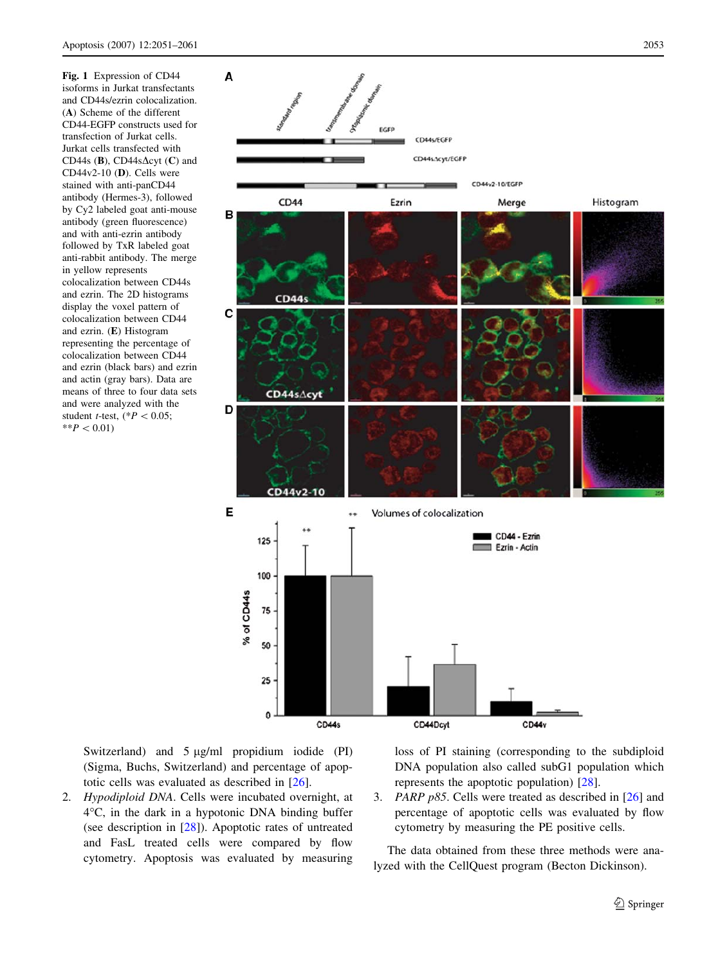<span id="page-2-0"></span>Fig. 1 Expression of CD44 isoforms in Jurkat transfectants and CD44s/ezrin colocalization. (A) Scheme of the different CD44-EGFP constructs used for transfection of Jurkat cells. Jurkat cells transfected with CD44s (B), CD44s $\Delta$ cyt (C) and CD44v2-10 (D). Cells were stained with anti-panCD44 antibody (Hermes-3), followed by Cy2 labeled goat anti-mouse antibody (green fluorescence) and with anti-ezrin antibody followed by TxR labeled goat anti-rabbit antibody. The merge in yellow represents colocalization between CD44s and ezrin. The 2D histograms display the voxel pattern of colocalization between CD44 and ezrin. (E) Histogram representing the percentage of colocalization between CD44 and ezrin (black bars) and ezrin and actin (gray bars). Data are means of three to four data sets and were analyzed with the student *t*-test,  $(*P < 0.05;$  $*$ <sup>\*</sup> $P$  < 0.01)



Switzerland) and  $5 \mu g/ml$  propidium iodide (PI) (Sigma, Buchs, Switzerland) and percentage of apoptotic cells was evaluated as described in [[26\]](#page-9-0).

2. Hypodiploid DNA. Cells were incubated overnight, at 4-C, in the dark in a hypotonic DNA binding buffer (see description in [\[28](#page-9-0)]). Apoptotic rates of untreated and FasL treated cells were compared by flow cytometry. Apoptosis was evaluated by measuring loss of PI staining (corresponding to the subdiploid DNA population also called subG1 population which represents the apoptotic population) [[28\]](#page-9-0).

3. PARP p85. Cells were treated as described in [[26\]](#page-9-0) and percentage of apoptotic cells was evaluated by flow cytometry by measuring the PE positive cells.

The data obtained from these three methods were analyzed with the CellQuest program (Becton Dickinson).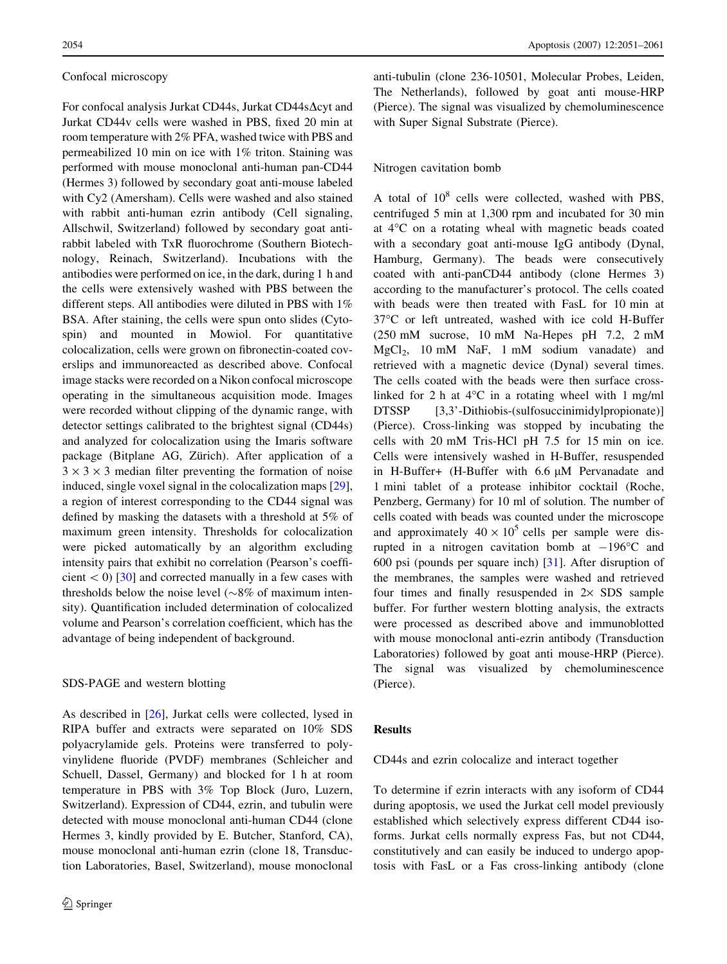#### Confocal microscopy

For confocal analysis Jurkat CD44s, Jurkat CD44s∆cyt and Jurkat CD44v cells were washed in PBS, fixed 20 min at room temperature with 2% PFA, washed twice with PBS and permeabilized 10 min on ice with 1% triton. Staining was performed with mouse monoclonal anti-human pan-CD44 (Hermes 3) followed by secondary goat anti-mouse labeled with Cy2 (Amersham). Cells were washed and also stained with rabbit anti-human ezrin antibody (Cell signaling, Allschwil, Switzerland) followed by secondary goat antirabbit labeled with TxR fluorochrome (Southern Biotechnology, Reinach, Switzerland). Incubations with the antibodies were performed on ice, in the dark, during 1 h and the cells were extensively washed with PBS between the different steps. All antibodies were diluted in PBS with 1% BSA. After staining, the cells were spun onto slides (Cytospin) and mounted in Mowiol. For quantitative colocalization, cells were grown on fibronectin-coated coverslips and immunoreacted as described above. Confocal image stacks were recorded on a Nikon confocal microscope operating in the simultaneous acquisition mode. Images were recorded without clipping of the dynamic range, with detector settings calibrated to the brightest signal (CD44s) and analyzed for colocalization using the Imaris software package (Bitplane AG, Zürich). After application of a  $3 \times 3 \times 3$  median filter preventing the formation of noise induced, single voxel signal in the colocalization maps [\[29](#page-9-0)], a region of interest corresponding to the CD44 signal was defined by masking the datasets with a threshold at 5% of maximum green intensity. Thresholds for colocalization were picked automatically by an algorithm excluding intensity pairs that exhibit no correlation (Pearson's coefficient  $\lt 0$  [\[30](#page-9-0)] and corrected manually in a few cases with thresholds below the noise level  $(\sim 8\%$  of maximum intensity). Quantification included determination of colocalized volume and Pearson's correlation coefficient, which has the advantage of being independent of background.

## SDS-PAGE and western blotting

As described in [\[26](#page-9-0)], Jurkat cells were collected, lysed in RIPA buffer and extracts were separated on 10% SDS polyacrylamide gels. Proteins were transferred to polyvinylidene fluoride (PVDF) membranes (Schleicher and Schuell, Dassel, Germany) and blocked for 1 h at room temperature in PBS with 3% Top Block (Juro, Luzern, Switzerland). Expression of CD44, ezrin, and tubulin were detected with mouse monoclonal anti-human CD44 (clone Hermes 3, kindly provided by E. Butcher, Stanford, CA), mouse monoclonal anti-human ezrin (clone 18, Transduction Laboratories, Basel, Switzerland), mouse monoclonal

anti-tubulin (clone 236-10501, Molecular Probes, Leiden, The Netherlands), followed by goat anti mouse-HRP (Pierce). The signal was visualized by chemoluminescence with Super Signal Substrate (Pierce).

## Nitrogen cavitation bomb

A total of 10<sup>8</sup> cells were collected, washed with PBS, centrifuged 5 min at 1,300 rpm and incubated for 30 min at 4°C on a rotating wheal with magnetic beads coated with a secondary goat anti-mouse IgG antibody (Dynal, Hamburg, Germany). The beads were consecutively coated with anti-panCD44 antibody (clone Hermes 3) according to the manufacturer's protocol. The cells coated with beads were then treated with FasL for 10 min at 37°C or left untreated, washed with ice cold H-Buffer (250 mM sucrose, 10 mM Na-Hepes pH 7.2, 2 mM MgCl<sub>2</sub>, 10 mM NaF, 1 mM sodium vanadate) and retrieved with a magnetic device (Dynal) several times. The cells coated with the beads were then surface crosslinked for 2 h at  $4^{\circ}$ C in a rotating wheel with 1 mg/ml DTSSP [3,3'-Dithiobis-(sulfosuccinimidylpropionate)] (Pierce). Cross-linking was stopped by incubating the cells with 20 mM Tris-HCl pH 7.5 for 15 min on ice. Cells were intensively washed in H-Buffer, resuspended in H-Buffer+ (H-Buffer with  $6.6 \mu M$  Pervanadate and 1 mini tablet of a protease inhibitor cocktail (Roche, Penzberg, Germany) for 10 ml of solution. The number of cells coated with beads was counted under the microscope and approximately  $40 \times 10^5$  cells per sample were disrupted in a nitrogen cavitation bomb at  $-196^{\circ}$ C and 600 psi (pounds per square inch) [\[31](#page-9-0)]. After disruption of the membranes, the samples were washed and retrieved four times and finally resuspended in  $2 \times$  SDS sample buffer. For further western blotting analysis, the extracts were processed as described above and immunoblotted with mouse monoclonal anti-ezrin antibody (Transduction Laboratories) followed by goat anti mouse-HRP (Pierce). The signal was visualized by chemoluminescence (Pierce).

## Results

#### CD44s and ezrin colocalize and interact together

To determine if ezrin interacts with any isoform of CD44 during apoptosis, we used the Jurkat cell model previously established which selectively express different CD44 isoforms. Jurkat cells normally express Fas, but not CD44, constitutively and can easily be induced to undergo apoptosis with FasL or a Fas cross-linking antibody (clone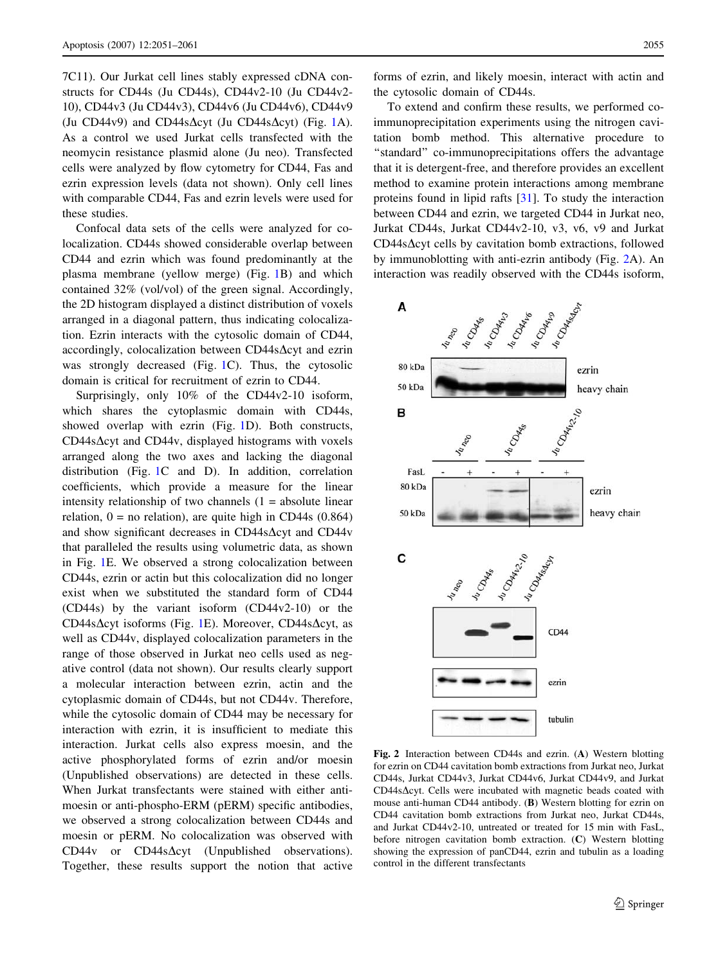<span id="page-4-0"></span>7C11). Our Jurkat cell lines stably expressed cDNA constructs for CD44s (Ju CD44s), CD44v2-10 (Ju CD44v2- 10), CD44v3 (Ju CD44v3), CD44v6 (Ju CD44v6), CD44v9 (Ju CD44v9) and CD44s $\Delta$ cyt (Ju CD44s $\Delta$ cyt) (Fig. [1](#page-2-0)A). As a control we used Jurkat cells transfected with the neomycin resistance plasmid alone (Ju neo). Transfected cells were analyzed by flow cytometry for CD44, Fas and ezrin expression levels (data not shown). Only cell lines with comparable CD44, Fas and ezrin levels were used for these studies.

Confocal data sets of the cells were analyzed for colocalization. CD44s showed considerable overlap between CD44 and ezrin which was found predominantly at the plasma membrane (yellow merge) (Fig. [1B](#page-2-0)) and which contained 32% (vol/vol) of the green signal. Accordingly, the 2D histogram displayed a distinct distribution of voxels arranged in a diagonal pattern, thus indicating colocalization. Ezrin interacts with the cytosolic domain of CD44, accordingly, colocalization between  $CD44s\Delta$ cyt and ezrin was strongly decreased (Fig. [1](#page-2-0)C). Thus, the cytosolic domain is critical for recruitment of ezrin to CD44.

Surprisingly, only 10% of the CD44v2-10 isoform, which shares the cytoplasmic domain with CD44s, showed overlap with ezrin (Fig. [1](#page-2-0)D). Both constructs,  $CD44s\Delta$ cyt and CD44v, displayed histograms with voxels arranged along the two axes and lacking the diagonal distribution (Fig. [1C](#page-2-0) and D). In addition, correlation coefficients, which provide a measure for the linear intensity relationship of two channels  $(1 = absolute linear)$ relation,  $0 =$  no relation), are quite high in CD44s (0.864) and show significant decreases in CD44s $\Delta$ cyt and CD44v that paralleled the results using volumetric data, as shown in Fig. [1](#page-2-0)E. We observed a strong colocalization between CD44s, ezrin or actin but this colocalization did no longer exist when we substituted the standard form of CD44 (CD44s) by the variant isoform (CD44v2-10) or the CD44s $\Delta$ cyt isoforms (Fig. [1](#page-2-0)E). Moreover, CD44s $\Delta$ cyt, as well as CD44v, displayed colocalization parameters in the range of those observed in Jurkat neo cells used as negative control (data not shown). Our results clearly support a molecular interaction between ezrin, actin and the cytoplasmic domain of CD44s, but not CD44v. Therefore, while the cytosolic domain of CD44 may be necessary for interaction with ezrin, it is insufficient to mediate this interaction. Jurkat cells also express moesin, and the active phosphorylated forms of ezrin and/or moesin (Unpublished observations) are detected in these cells. When Jurkat transfectants were stained with either antimoesin or anti-phospho-ERM (pERM) specific antibodies, we observed a strong colocalization between CD44s and moesin or pERM. No colocalization was observed with  $CD44v$  or  $CD44s\Delta$ cyt (Unpublished observations). Together, these results support the notion that active

forms of ezrin, and likely moesin, interact with actin and the cytosolic domain of CD44s.

To extend and confirm these results, we performed coimmunoprecipitation experiments using the nitrogen cavitation bomb method. This alternative procedure to "standard" co-immunoprecipitations offers the advantage that it is detergent-free, and therefore provides an excellent method to examine protein interactions among membrane proteins found in lipid rafts [[31](#page-9-0)]. To study the interaction between CD44 and ezrin, we targeted CD44 in Jurkat neo, Jurkat CD44s, Jurkat CD44v2-10, v3, v6, v9 and Jurkat  $CD44s\Delta$ cyt cells by cavitation bomb extractions, followed by immunoblotting with anti-ezrin antibody (Fig. 2A). An interaction was readily observed with the CD44s isoform,



Fig. 2 Interaction between CD44s and ezrin. (A) Western blotting for ezrin on CD44 cavitation bomb extractions from Jurkat neo, Jurkat CD44s, Jurkat CD44v3, Jurkat CD44v6, Jurkat CD44v9, and Jurkat  $CD44s\Delta$ cyt. Cells were incubated with magnetic beads coated with mouse anti-human CD44 antibody. (B) Western blotting for ezrin on CD44 cavitation bomb extractions from Jurkat neo, Jurkat CD44s, and Jurkat CD44v2-10, untreated or treated for 15 min with FasL, before nitrogen cavitation bomb extraction. (C) Western blotting showing the expression of panCD44, ezrin and tubulin as a loading control in the different transfectants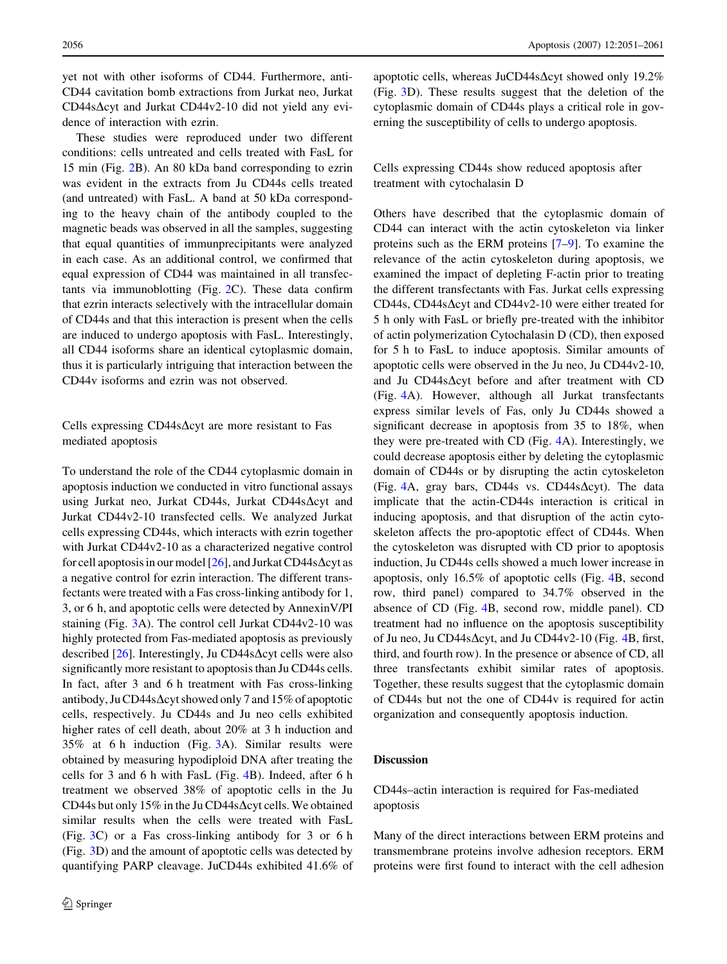yet not with other isoforms of CD44. Furthermore, anti-CD44 cavitation bomb extractions from Jurkat neo, Jurkat  $CD44s\Delta$ cyt and Jurkat CD44v2-10 did not yield any evidence of interaction with ezrin.

These studies were reproduced under two different conditions: cells untreated and cells treated with FasL for 15 min (Fig. [2B](#page-4-0)). An 80 kDa band corresponding to ezrin was evident in the extracts from Ju CD44s cells treated (and untreated) with FasL. A band at 50 kDa corresponding to the heavy chain of the antibody coupled to the magnetic beads was observed in all the samples, suggesting that equal quantities of immunprecipitants were analyzed in each case. As an additional control, we confirmed that equal expression of CD44 was maintained in all transfectants via immunoblotting (Fig. [2C](#page-4-0)). These data confirm that ezrin interacts selectively with the intracellular domain of CD44s and that this interaction is present when the cells are induced to undergo apoptosis with FasL. Interestingly, all CD44 isoforms share an identical cytoplasmic domain, thus it is particularly intriguing that interaction between the CD44v isoforms and ezrin was not observed.

## Cells expressing CD44s $\Delta$ cyt are more resistant to Fas mediated apoptosis

To understand the role of the CD44 cytoplasmic domain in apoptosis induction we conducted in vitro functional assays using Jurkat neo, Jurkat CD44s, Jurkat CD44s $\Delta$ cyt and Jurkat CD44v2-10 transfected cells. We analyzed Jurkat cells expressing CD44s, which interacts with ezrin together with Jurkat CD44v2-10 as a characterized negative control for cell apoptosis in our model  $[26]$  $[26]$ , and Jurkat CD44s $\Delta$ cyt as a negative control for ezrin interaction. The different transfectants were treated with a Fas cross-linking antibody for 1, 3, or 6 h, and apoptotic cells were detected by AnnexinV/PI staining (Fig. [3](#page-6-0)A). The control cell Jurkat CD44v2-10 was highly protected from Fas-mediated apoptosis as previously described  $[26]$  $[26]$ . Interestingly, Ju CD44s $\Delta$ cyt cells were also significantly more resistant to apoptosis than Ju CD44s cells. In fact, after 3 and 6 h treatment with Fas cross-linking antibody, Ju CD44s $\Delta$ cyt showed only 7 and 15% of apoptotic cells, respectively. Ju CD44s and Ju neo cells exhibited higher rates of cell death, about 20% at 3 h induction and 35% at 6 h induction (Fig. [3](#page-6-0)A). Similar results were obtained by measuring hypodiploid DNA after treating the cells for 3 and 6 h with FasL (Fig. [4](#page-7-0)B). Indeed, after 6 h treatment we observed 38% of apoptotic cells in the Ju CD44s but only 15% in the Ju CD44s $\Delta$ cyt cells. We obtained similar results when the cells were treated with FasL (Fig. [3](#page-6-0)C) or a Fas cross-linking antibody for 3 or 6 h (Fig. [3](#page-6-0)D) and the amount of apoptotic cells was detected by quantifying PARP cleavage. JuCD44s exhibited 41.6% of apoptotic cells, whereas JuCD44s $\Delta$ cyt showed only 19.2% (Fig. [3D](#page-6-0)). These results suggest that the deletion of the cytoplasmic domain of CD44s plays a critical role in governing the susceptibility of cells to undergo apoptosis.

Cells expressing CD44s show reduced apoptosis after treatment with cytochalasin D

Others have described that the cytoplasmic domain of CD44 can interact with the actin cytoskeleton via linker proteins such as the ERM proteins [[7–9](#page-9-0)]. To examine the relevance of the actin cytoskeleton during apoptosis, we examined the impact of depleting F-actin prior to treating the different transfectants with Fas. Jurkat cells expressing CD44s, CD44s $\Delta$ cyt and CD44v2-10 were either treated for 5 h only with FasL or briefly pre-treated with the inhibitor of actin polymerization Cytochalasin D (CD), then exposed for 5 h to FasL to induce apoptosis. Similar amounts of apoptotic cells were observed in the Ju neo, Ju CD44v2-10, and Ju CD44s $\Delta$ cyt before and after treatment with CD (Fig. [4A](#page-7-0)). However, although all Jurkat transfectants express similar levels of Fas, only Ju CD44s showed a significant decrease in apoptosis from 35 to 18%, when they were pre-treated with CD (Fig. [4](#page-7-0)A). Interestingly, we could decrease apoptosis either by deleting the cytoplasmic domain of CD44s or by disrupting the actin cytoskeleton (Fig. [4A](#page-7-0), gray bars, CD44s vs. CD44s $\Delta$ cyt). The data implicate that the actin-CD44s interaction is critical in inducing apoptosis, and that disruption of the actin cytoskeleton affects the pro-apoptotic effect of CD44s. When the cytoskeleton was disrupted with CD prior to apoptosis induction, Ju CD44s cells showed a much lower increase in apoptosis, only 16.5% of apoptotic cells (Fig. [4B](#page-7-0), second row, third panel) compared to 34.7% observed in the absence of CD (Fig. [4B](#page-7-0), second row, middle panel). CD treatment had no influence on the apoptosis susceptibility of Ju neo, Ju CD44s $\Delta$ cyt, and Ju CD44v2-10 (Fig. [4B](#page-7-0), first, third, and fourth row). In the presence or absence of CD, all three transfectants exhibit similar rates of apoptosis. Together, these results suggest that the cytoplasmic domain of CD44s but not the one of CD44v is required for actin organization and consequently apoptosis induction.

# Discussion

CD44s–actin interaction is required for Fas-mediated apoptosis

Many of the direct interactions between ERM proteins and transmembrane proteins involve adhesion receptors. ERM proteins were first found to interact with the cell adhesion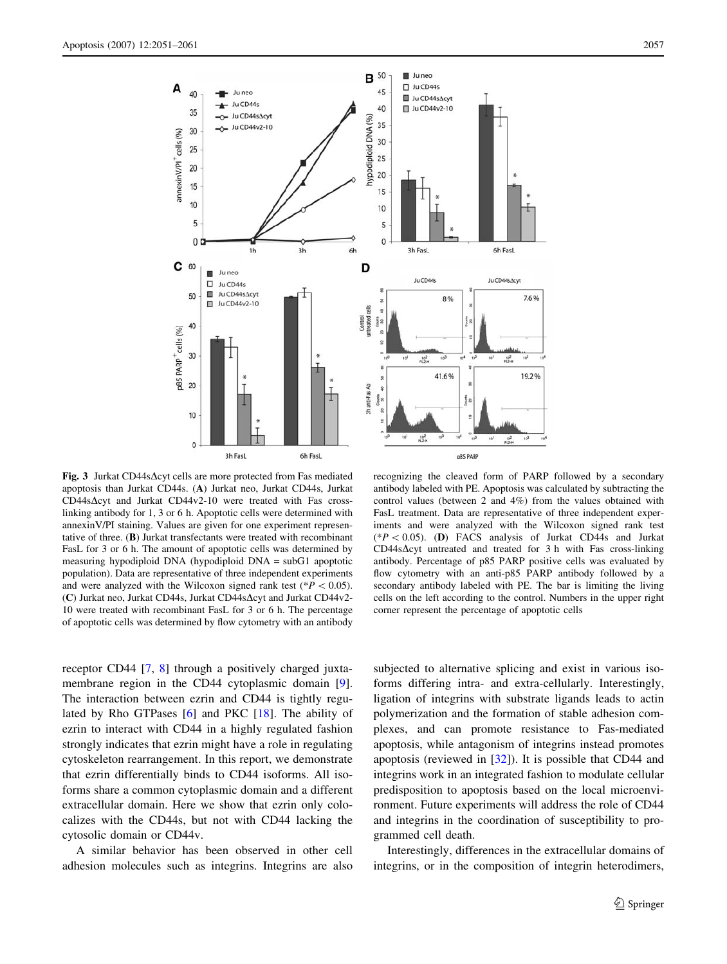<span id="page-6-0"></span>

Fig. 3 Jurkat CD44s $\Delta$ cyt cells are more protected from Fas mediated apoptosis than Jurkat CD44s. (A) Jurkat neo, Jurkat CD44s, Jurkat  $CD44s\Delta$ cyt and Jurkat  $CD44v2-10$  were treated with Fas crosslinking antibody for 1, 3 or 6 h. Apoptotic cells were determined with annexinV/PI staining. Values are given for one experiment representative of three. (B) Jurkat transfectants were treated with recombinant FasL for 3 or 6 h. The amount of apoptotic cells was determined by measuring hypodiploid DNA (hypodiploid DNA = subG1 apoptotic population). Data are representative of three independent experiments and were analyzed with the Wilcoxon signed rank test ( $P < 0.05$ ). (C) Jurkat neo, Jurkat CD44s, Jurkat CD44s $\Delta$ cyt and Jurkat CD44v2-10 were treated with recombinant FasL for 3 or 6 h. The percentage of apoptotic cells was determined by flow cytometry with an antibody

recognizing the cleaved form of PARP followed by a secondary antibody labeled with PE. Apoptosis was calculated by subtracting the control values (between 2 and 4%) from the values obtained with FasL treatment. Data are representative of three independent experiments and were analyzed with the Wilcoxon signed rank test  $(*P<0.05)$ . (D) FACS analysis of Jurkat CD44s and Jurkat  $CD44s\Delta$ cyt untreated and treated for 3 h with Fas cross-linking antibody. Percentage of p85 PARP positive cells was evaluated by flow cytometry with an anti-p85 PARP antibody followed by a secondary antibody labeled with PE. The bar is limiting the living cells on the left according to the control. Numbers in the upper right corner represent the percentage of apoptotic cells

receptor CD44 [\[7](#page-9-0), [8\]](#page-9-0) through a positively charged juxta-membrane region in the CD44 cytoplasmic domain [\[9](#page-9-0)]. The interaction between ezrin and CD44 is tightly regulated by Rho GTPases [[6\]](#page-9-0) and PKC [\[18](#page-9-0)]. The ability of ezrin to interact with CD44 in a highly regulated fashion strongly indicates that ezrin might have a role in regulating cytoskeleton rearrangement. In this report, we demonstrate that ezrin differentially binds to CD44 isoforms. All isoforms share a common cytoplasmic domain and a different extracellular domain. Here we show that ezrin only colocalizes with the CD44s, but not with CD44 lacking the cytosolic domain or CD44v.

A similar behavior has been observed in other cell adhesion molecules such as integrins. Integrins are also subjected to alternative splicing and exist in various isoforms differing intra- and extra-cellularly. Interestingly, ligation of integrins with substrate ligands leads to actin polymerization and the formation of stable adhesion complexes, and can promote resistance to Fas-mediated apoptosis, while antagonism of integrins instead promotes apoptosis (reviewed in [\[32](#page-9-0)]). It is possible that CD44 and integrins work in an integrated fashion to modulate cellular predisposition to apoptosis based on the local microenvironment. Future experiments will address the role of CD44 and integrins in the coordination of susceptibility to programmed cell death.

Interestingly, differences in the extracellular domains of integrins, or in the composition of integrin heterodimers,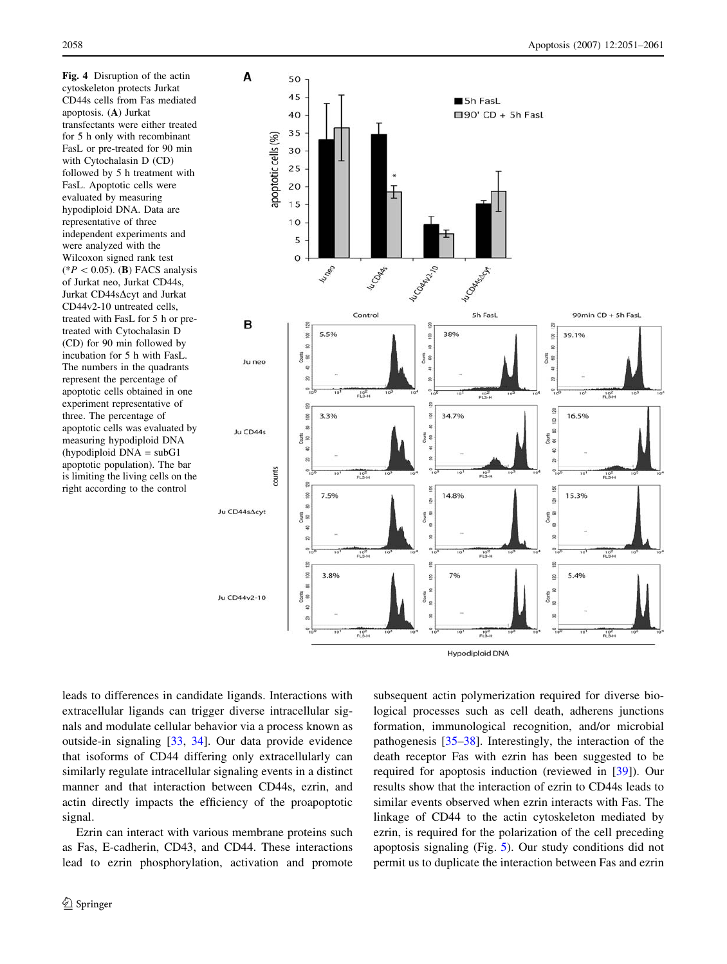<span id="page-7-0"></span>Fig. 4 Disruption of the actin cytoskeleton protects Jurkat CD44s cells from Fas mediated apoptosis. (A) Jurkat transfectants were either treated for 5 h only with recombinant FasL or pre-treated for 90 min with Cytochalasin D (CD) followed by 5 h treatment with FasL. Apoptotic cells were evaluated by measuring hypodiploid DNA. Data are representative of three independent experiments and were analyzed with the Wilcoxon signed rank test  $(*P < 0.05)$ . (B) FACS analysis of Jurkat neo, Jurkat CD44s, Jurkat CD44s $\Delta$ cyt and Jurkat CD44v2-10 untreated cells, treated with FasL for 5 h or pretreated with Cytochalasin D (CD) for 90 min followed by incubation for 5 h with FasL. The numbers in the quadrants represent the percentage of apoptotic cells obtained in one experiment representative of three. The percentage of apoptotic cells was evaluated by measuring hypodiploid DNA (hypodiploid DNA = subG1 apoptotic population). The bar is limiting the living cells on the right according to the control



**Hypodiploid DNA** 

leads to differences in candidate ligands. Interactions with extracellular ligands can trigger diverse intracellular signals and modulate cellular behavior via a process known as outside-in signaling [\[33](#page-9-0), [34\]](#page-9-0). Our data provide evidence that isoforms of CD44 differing only extracellularly can similarly regulate intracellular signaling events in a distinct manner and that interaction between CD44s, ezrin, and actin directly impacts the efficiency of the proapoptotic signal.

Ezrin can interact with various membrane proteins such as Fas, E-cadherin, CD43, and CD44. These interactions lead to ezrin phosphorylation, activation and promote subsequent actin polymerization required for diverse biological processes such as cell death, adherens junctions formation, immunological recognition, and/or microbial pathogenesis [\[35–38\]](#page-9-0). Interestingly, the interaction of the death receptor Fas with ezrin has been suggested to be required for apoptosis induction (reviewed in [\[39](#page-9-0)]). Our results show that the interaction of ezrin to CD44s leads to similar events observed when ezrin interacts with Fas. The linkage of CD44 to the actin cytoskeleton mediated by ezrin, is required for the polarization of the cell preceding apoptosis signaling (Fig. [5](#page-8-0)). Our study conditions did not permit us to duplicate the interaction between Fas and ezrin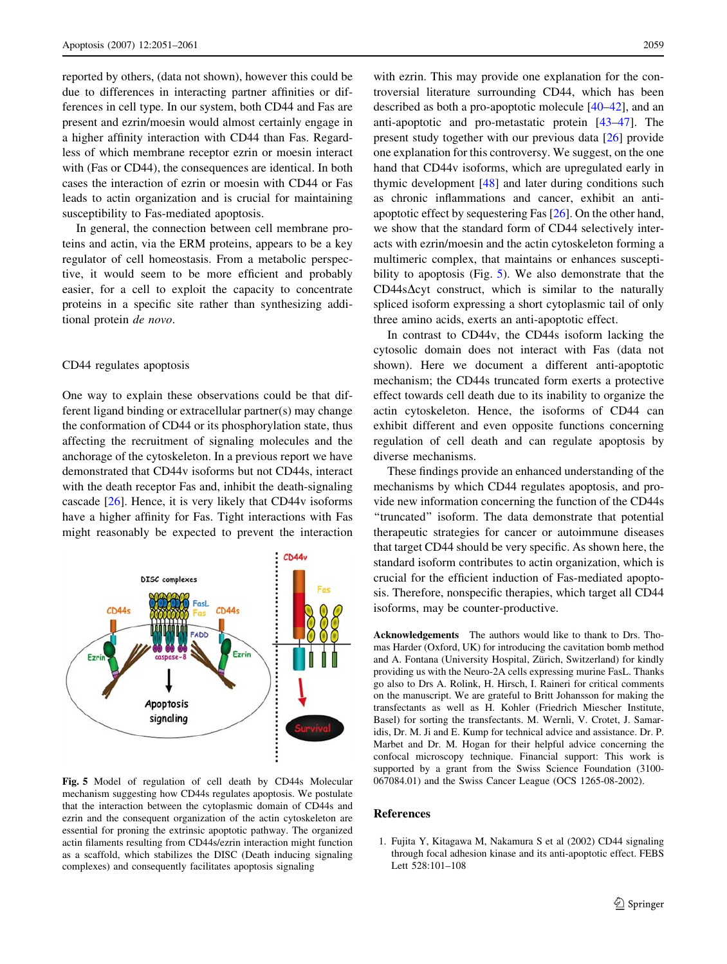<span id="page-8-0"></span>reported by others, (data not shown), however this could be due to differences in interacting partner affinities or differences in cell type. In our system, both CD44 and Fas are present and ezrin/moesin would almost certainly engage in a higher affinity interaction with CD44 than Fas. Regardless of which membrane receptor ezrin or moesin interact with (Fas or CD44), the consequences are identical. In both cases the interaction of ezrin or moesin with CD44 or Fas leads to actin organization and is crucial for maintaining susceptibility to Fas-mediated apoptosis.

In general, the connection between cell membrane proteins and actin, via the ERM proteins, appears to be a key regulator of cell homeostasis. From a metabolic perspective, it would seem to be more efficient and probably easier, for a cell to exploit the capacity to concentrate proteins in a specific site rather than synthesizing additional protein de novo.

#### CD44 regulates apoptosis

One way to explain these observations could be that different ligand binding or extracellular partner(s) may change the conformation of CD44 or its phosphorylation state, thus affecting the recruitment of signaling molecules and the anchorage of the cytoskeleton. In a previous report we have demonstrated that CD44v isoforms but not CD44s, interact with the death receptor Fas and, inhibit the death-signaling cascade [[26\]](#page-9-0). Hence, it is very likely that CD44v isoforms have a higher affinity for Fas. Tight interactions with Fas might reasonably be expected to prevent the interaction



Fig. 5 Model of regulation of cell death by CD44s Molecular mechanism suggesting how CD44s regulates apoptosis. We postulate that the interaction between the cytoplasmic domain of CD44s and ezrin and the consequent organization of the actin cytoskeleton are essential for proning the extrinsic apoptotic pathway. The organized actin filaments resulting from CD44s/ezrin interaction might function as a scaffold, which stabilizes the DISC (Death inducing signaling complexes) and consequently facilitates apoptosis signaling

with ezrin. This may provide one explanation for the controversial literature surrounding CD44, which has been described as both a pro-apoptotic molecule [\[40](#page-9-0)[–42](#page-10-0)], and an anti-apoptotic and pro-metastatic protein [\[43–47](#page-10-0)]. The present study together with our previous data [\[26](#page-9-0)] provide one explanation for this controversy. We suggest, on the one hand that CD44v isoforms, which are upregulated early in thymic development [[48\]](#page-10-0) and later during conditions such as chronic inflammations and cancer, exhibit an antiapoptotic effect by sequestering Fas [\[26](#page-9-0)]. On the other hand, we show that the standard form of CD44 selectively interacts with ezrin/moesin and the actin cytoskeleton forming a multimeric complex, that maintains or enhances susceptibility to apoptosis (Fig. 5). We also demonstrate that the  $CD44s\Delta$ cyt construct, which is similar to the naturally spliced isoform expressing a short cytoplasmic tail of only three amino acids, exerts an anti-apoptotic effect.

In contrast to CD44v, the CD44s isoform lacking the cytosolic domain does not interact with Fas (data not shown). Here we document a different anti-apoptotic mechanism; the CD44s truncated form exerts a protective effect towards cell death due to its inability to organize the actin cytoskeleton. Hence, the isoforms of CD44 can exhibit different and even opposite functions concerning regulation of cell death and can regulate apoptosis by diverse mechanisms.

These findings provide an enhanced understanding of the mechanisms by which CD44 regulates apoptosis, and provide new information concerning the function of the CD44s ''truncated'' isoform. The data demonstrate that potential therapeutic strategies for cancer or autoimmune diseases that target CD44 should be very specific. As shown here, the standard isoform contributes to actin organization, which is crucial for the efficient induction of Fas-mediated apoptosis. Therefore, nonspecific therapies, which target all CD44 isoforms, may be counter-productive.

Acknowledgements The authors would like to thank to Drs. Thomas Harder (Oxford, UK) for introducing the cavitation bomb method and A. Fontana (University Hospital, Zürich, Switzerland) for kindly providing us with the Neuro-2A cells expressing murine FasL. Thanks go also to Drs A. Rolink, H. Hirsch, I. Raineri for critical comments on the manuscript. We are grateful to Britt Johansson for making the transfectants as well as H. Kohler (Friedrich Miescher Institute, Basel) for sorting the transfectants. M. Wernli, V. Crotet, J. Samaridis, Dr. M. Ji and E. Kump for technical advice and assistance. Dr. P. Marbet and Dr. M. Hogan for their helpful advice concerning the confocal microscopy technique. Financial support: This work is supported by a grant from the Swiss Science Foundation (3100- 067084.01) and the Swiss Cancer League (OCS 1265-08-2002).

#### References

1. Fujita Y, Kitagawa M, Nakamura S et al (2002) CD44 signaling through focal adhesion kinase and its anti-apoptotic effect. FEBS Lett 528:101–108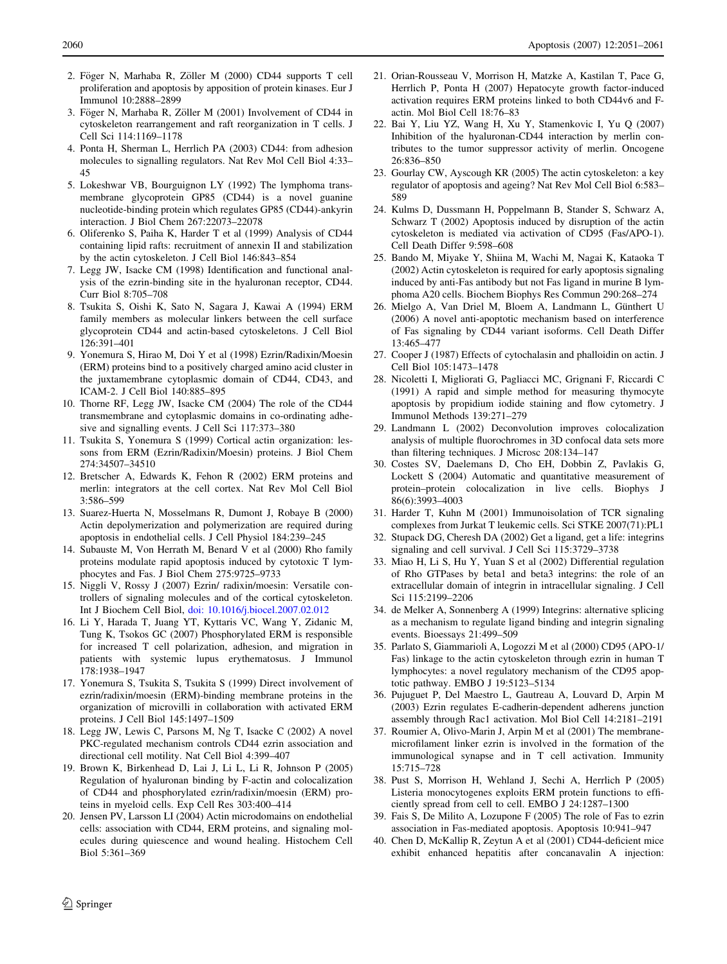- <span id="page-9-0"></span>2. Föger N, Marhaba R, Zöller M (2000) CD44 supports T cell proliferation and apoptosis by apposition of protein kinases. Eur J Immunol 10:2888–2899
- 3. Föger N, Marhaba R, Zöller M (2001) Involvement of CD44 in cytoskeleton rearrangement and raft reorganization in T cells. J Cell Sci 114:1169–1178
- 4. Ponta H, Sherman L, Herrlich PA (2003) CD44: from adhesion molecules to signalling regulators. Nat Rev Mol Cell Biol 4:33– 45
- 5. Lokeshwar VB, Bourguignon LY (1992) The lymphoma transmembrane glycoprotein GP85 (CD44) is a novel guanine nucleotide-binding protein which regulates GP85 (CD44)-ankyrin interaction. J Biol Chem 267:22073–22078
- 6. Oliferenko S, Paiha K, Harder T et al (1999) Analysis of CD44 containing lipid rafts: recruitment of annexin II and stabilization by the actin cytoskeleton. J Cell Biol 146:843–854
- 7. Legg JW, Isacke CM (1998) Identification and functional analysis of the ezrin-binding site in the hyaluronan receptor, CD44. Curr Biol 8:705–708
- 8. Tsukita S, Oishi K, Sato N, Sagara J, Kawai A (1994) ERM family members as molecular linkers between the cell surface glycoprotein CD44 and actin-based cytoskeletons. J Cell Biol 126:391–401
- 9. Yonemura S, Hirao M, Doi Y et al (1998) Ezrin/Radixin/Moesin (ERM) proteins bind to a positively charged amino acid cluster in the juxtamembrane cytoplasmic domain of CD44, CD43, and ICAM-2. J Cell Biol 140:885–895
- 10. Thorne RF, Legg JW, Isacke CM (2004) The role of the CD44 transmembrane and cytoplasmic domains in co-ordinating adhesive and signalling events. J Cell Sci 117:373–380
- 11. Tsukita S, Yonemura S (1999) Cortical actin organization: lessons from ERM (Ezrin/Radixin/Moesin) proteins. J Biol Chem 274:34507–34510
- 12. Bretscher A, Edwards K, Fehon R (2002) ERM proteins and merlin: integrators at the cell cortex. Nat Rev Mol Cell Biol 3:586–599
- 13. Suarez-Huerta N, Mosselmans R, Dumont J, Robaye B (2000) Actin depolymerization and polymerization are required during apoptosis in endothelial cells. J Cell Physiol 184:239–245
- 14. Subauste M, Von Herrath M, Benard V et al (2000) Rho family proteins modulate rapid apoptosis induced by cytotoxic T lymphocytes and Fas. J Biol Chem 275:9725–9733
- 15. Niggli V, Rossy J (2007) Ezrin/ radixin/moesin: Versatile controllers of signaling molecules and of the cortical cytoskeleton. Int J Biochem Cell Biol, doi: 10.1016/j.biocel.2007.02.012
- 16. Li Y, Harada T, Juang YT, Kyttaris VC, Wang Y, Zidanic M, Tung K, Tsokos GC (2007) Phosphorylated ERM is responsible for increased T cell polarization, adhesion, and migration in patients with systemic lupus erythematosus. J Immunol 178:1938–1947
- 17. Yonemura S, Tsukita S, Tsukita S (1999) Direct involvement of ezrin/radixin/moesin (ERM)-binding membrane proteins in the organization of microvilli in collaboration with activated ERM proteins. J Cell Biol 145:1497–1509
- 18. Legg JW, Lewis C, Parsons M, Ng T, Isacke C (2002) A novel PKC-regulated mechanism controls CD44 ezrin association and directional cell motility. Nat Cell Biol 4:399–407
- 19. Brown K, Birkenhead D, Lai J, Li L, Li R, Johnson P (2005) Regulation of hyaluronan binding by F-actin and colocalization of CD44 and phosphorylated ezrin/radixin/moesin (ERM) proteins in myeloid cells. Exp Cell Res 303:400–414
- 20. Jensen PV, Larsson LI (2004) Actin microdomains on endothelial cells: association with CD44, ERM proteins, and signaling molecules during quiescence and wound healing. Histochem Cell Biol 5:361–369
- 21. Orian-Rousseau V, Morrison H, Matzke A, Kastilan T, Pace G, Herrlich P, Ponta H (2007) Hepatocyte growth factor-induced activation requires ERM proteins linked to both CD44v6 and Factin. Mol Biol Cell 18:76–83
- 22. Bai Y, Liu YZ, Wang H, Xu Y, Stamenkovic I, Yu Q (2007) Inhibition of the hyaluronan-CD44 interaction by merlin contributes to the tumor suppressor activity of merlin. Oncogene 26:836–850
- 23. Gourlay CW, Ayscough KR (2005) The actin cytoskeleton: a key regulator of apoptosis and ageing? Nat Rev Mol Cell Biol 6:583– 589
- 24. Kulms D, Dussmann H, Poppelmann B, Stander S, Schwarz A, Schwarz T (2002) Apoptosis induced by disruption of the actin cytoskeleton is mediated via activation of CD95 (Fas/APO-1). Cell Death Differ 9:598–608
- 25. Bando M, Miyake Y, Shiina M, Wachi M, Nagai K, Kataoka T (2002) Actin cytoskeleton is required for early apoptosis signaling induced by anti-Fas antibody but not Fas ligand in murine B lymphoma A20 cells. Biochem Biophys Res Commun 290:268–274
- 26. Mielgo A, Van Driel M, Bloem A, Landmann L, Günthert U (2006) A novel anti-apoptotic mechanism based on interference of Fas signaling by CD44 variant isoforms. Cell Death Differ 13:465–477
- 27. Cooper J (1987) Effects of cytochalasin and phalloidin on actin. J Cell Biol 105:1473–1478
- 28. Nicoletti I, Migliorati G, Pagliacci MC, Grignani F, Riccardi C (1991) A rapid and simple method for measuring thymocyte apoptosis by propidium iodide staining and flow cytometry. J Immunol Methods 139:271–279
- 29. Landmann L (2002) Deconvolution improves colocalization analysis of multiple fluorochromes in 3D confocal data sets more than filtering techniques. J Microsc 208:134–147
- 30. Costes SV, Daelemans D, Cho EH, Dobbin Z, Pavlakis G, Lockett S (2004) Automatic and quantitative measurement of protein–protein colocalization in live cells. Biophys J 86(6):3993–4003
- 31. Harder T, Kuhn M (2001) Immunoisolation of TCR signaling complexes from Jurkat T leukemic cells. Sci STKE 2007(71):PL1
- 32. Stupack DG, Cheresh DA (2002) Get a ligand, get a life: integrins signaling and cell survival. J Cell Sci 115:3729–3738
- 33. Miao H, Li S, Hu Y, Yuan S et al (2002) Differential regulation of Rho GTPases by beta1 and beta3 integrins: the role of an extracellular domain of integrin in intracellular signaling. J Cell Sci 115:2199–2206
- 34. de Melker A, Sonnenberg A (1999) Integrins: alternative splicing as a mechanism to regulate ligand binding and integrin signaling events. Bioessays 21:499–509
- 35. Parlato S, Giammarioli A, Logozzi M et al (2000) CD95 (APO-1/ Fas) linkage to the actin cytoskeleton through ezrin in human T lymphocytes: a novel regulatory mechanism of the CD95 apoptotic pathway. EMBO J 19:5123–5134
- 36. Pujuguet P, Del Maestro L, Gautreau A, Louvard D, Arpin M (2003) Ezrin regulates E-cadherin-dependent adherens junction assembly through Rac1 activation. Mol Biol Cell 14:2181–2191
- 37. Roumier A, Olivo-Marin J, Arpin M et al (2001) The membranemicrofilament linker ezrin is involved in the formation of the immunological synapse and in T cell activation. Immunity 15:715–728
- 38. Pust S, Morrison H, Wehland J, Sechi A, Herrlich P (2005) Listeria monocytogenes exploits ERM protein functions to efficiently spread from cell to cell. EMBO J 24:1287–1300
- 39. Fais S, De Milito A, Lozupone F (2005) The role of Fas to ezrin association in Fas-mediated apoptosis. Apoptosis 10:941–947
- 40. Chen D, McKallip R, Zeytun A et al (2001) CD44-deficient mice exhibit enhanced hepatitis after concanavalin A injection: